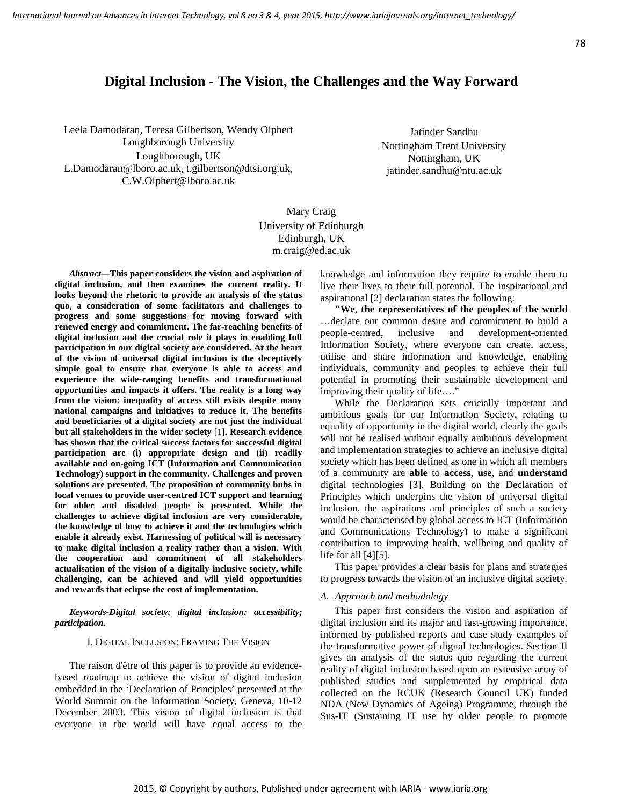# **Digital Inclusion - The Vision, the Challenges and the Way Forward**

Leela Damodaran, Teresa Gilbertson, Wendy Olphert Loughborough University Loughborough, UK L.Damodaran@lboro.ac.uk, t.gilbertson@dtsi.org.uk, C.W.Olphert@lboro.ac.uk

Jatinder Sandhu Nottingham Trent University Nottingham, UK jatinder.sandhu@ntu.ac.uk

Mary Craig University of Edinburgh Edinburgh, UK m.craig@ed.ac.uk

*Abstract*—**This paper considers the vision and aspiration of digital inclusion, and then examines the current reality. It looks beyond the rhetoric to provide an analysis of the status quo, a consideration of some facilitators and challenges to progress and some suggestions for moving forward with renewed energy and commitment. The far-reaching benefits of digital inclusion and the crucial role it plays in enabling full participation in our digital society are considered. At the heart of the vision of universal digital inclusion is the deceptively simple goal to ensure that everyone is able to access and experience the wide-ranging benefits and transformational opportunities and impacts it offers. The reality is a long way from the vision: inequality of access still exists despite many national campaigns and initiatives to reduce it. The benefits and beneficiaries of a digital society are not just the individual but all stakeholders in the wider society** [1]**. Research evidence has shown that the critical success factors for successful digital participation are (i) appropriate design and (ii) readily available and on-going ICT (Information and Communication Technology) support in the community. Challenges and proven solutions are presented. The proposition of community hubs in local venues to provide user-centred ICT support and learning for older and disabled people is presented. While the challenges to achieve digital inclusion are very considerable, the knowledge of how to achieve it and the technologies which enable it already exist. Harnessing of political will is necessary to make digital inclusion a reality rather than a vision. With the cooperation and commitment of all stakeholders actualisation of the vision of a digitally inclusive society, while challenging, can be achieved and will yield opportunities and rewards that eclipse the cost of implementation.** 

*Keywords-Digital society; digital inclusion; accessibility; participation.*

#### I. DIGITAL INCLUSION: FRAMING THE VISION

The raison d'être of this paper is to provide an evidencebased roadmap to achieve the vision of digital inclusion embedded in the 'Declaration of Principles' presented at the World Summit on the Information Society, Geneva, 10-12 December 2003. This vision of digital inclusion is that everyone in the world will have equal access to the knowledge and information they require to enable them to live their lives to their full potential. The inspirational and aspirational [2] declaration states the following:

**"We**, **the representatives of the peoples of the world** …declare our common desire and commitment to build a people-centred, inclusive and development-oriented Information Society, where everyone can create, access, utilise and share information and knowledge, enabling individuals, community and peoples to achieve their full potential in promoting their sustainable development and improving their quality of life…."

While the Declaration sets crucially important and ambitious goals for our Information Society, relating to equality of opportunity in the digital world, clearly the goals will not be realised without equally ambitious development and implementation strategies to achieve an inclusive digital society which has been defined as one in which all members of a community are **able** to **access**, **use**, and **understand** digital technologies [3]. Building on the Declaration of Principles which underpins the vision of universal digital inclusion, the aspirations and principles of such a society would be characterised by global access to ICT (Information and Communications Technology) to make a significant contribution to improving health, wellbeing and quality of life for all [4][5].

This paper provides a clear basis for plans and strategies to progress towards the vision of an inclusive digital society.

#### *A. Approach and methodology*

This paper first considers the vision and aspiration of digital inclusion and its major and fast-growing importance, informed by published reports and case study examples of the transformative power of digital technologies. Section II gives an analysis of the status quo regarding the current reality of digital inclusion based upon an extensive array of published studies and supplemented by empirical data collected on the RCUK (Research Council UK) funded NDA (New Dynamics of Ageing) Programme, through the Sus-IT (Sustaining IT use by older people to promote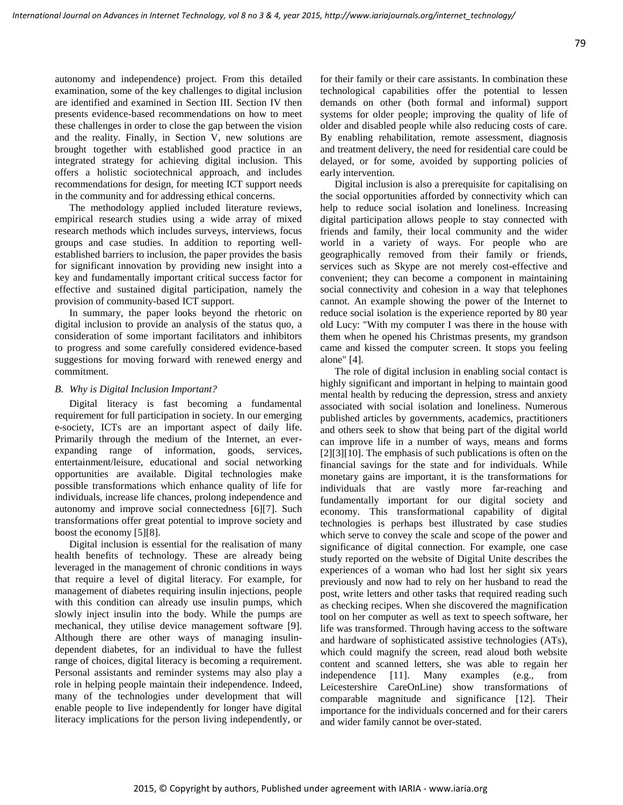autonomy and independence) project. From this detailed examination, some of the key challenges to digital inclusion are identified and examined in Section III. Section IV then presents evidence-based recommendations on how to meet these challenges in order to close the gap between the vision and the reality. Finally, in Section V, new solutions are brought together with established good practice in an integrated strategy for achieving digital inclusion. This offers a holistic sociotechnical approach, and includes recommendations for design, for meeting ICT support needs in the community and for addressing ethical concerns.

The methodology applied included literature reviews, empirical research studies using a wide array of mixed research methods which includes surveys, interviews, focus groups and case studies. In addition to reporting wellestablished barriers to inclusion, the paper provides the basis for significant innovation by providing new insight into a key and fundamentally important critical success factor for effective and sustained digital participation, namely the provision of community-based ICT support.

In summary, the paper looks beyond the rhetoric on digital inclusion to provide an analysis of the status quo, a consideration of some important facilitators and inhibitors to progress and some carefully considered evidence-based suggestions for moving forward with renewed energy and commitment.

#### *B. Why is Digital Inclusion Important?*

Digital literacy is fast becoming a fundamental requirement for full participation in society. In our emerging e-society, ICTs are an important aspect of daily life. Primarily through the medium of the Internet, an everexpanding range of information, goods, services, entertainment/leisure, educational and social networking opportunities are available. Digital technologies make possible transformations which enhance quality of life for individuals, increase life chances, prolong independence and autonomy and improve social connectedness [6][7]. Such transformations offer great potential to improve society and boost the economy [5][8].

Digital inclusion is essential for the realisation of many health benefits of technology. These are already being leveraged in the management of chronic conditions in ways that require a level of digital literacy. For example, for management of diabetes requiring insulin injections, people with this condition can already use insulin pumps, which slowly inject insulin into the body. While the pumps are mechanical, they utilise device management software [9]. Although there are other ways of managing insulindependent diabetes, for an individual to have the fullest range of choices, digital literacy is becoming a requirement. Personal assistants and reminder systems may also play a role in helping people maintain their independence. Indeed, many of the technologies under development that will enable people to live independently for longer have digital literacy implications for the person living independently, or for their family or their care assistants. In combination these technological capabilities offer the potential to lessen demands on other (both formal and informal) support systems for older people; improving the quality of life of older and disabled people while also reducing costs of care. By enabling rehabilitation, remote assessment, diagnosis and treatment delivery, the need for residential care could be delayed, or for some, avoided by supporting policies of early intervention.

Digital inclusion is also a prerequisite for capitalising on the social opportunities afforded by connectivity which can help to reduce social isolation and loneliness. Increasing digital participation allows people to stay connected with friends and family, their local community and the wider world in a variety of ways. For people who are geographically removed from their family or friends, services such as Skype are not merely cost-effective and convenient; they can become a component in maintaining social connectivity and cohesion in a way that telephones cannot. An example showing the power of the Internet to reduce social isolation is the experience reported by 80 year old Lucy: "With my computer I was there in the house with them when he opened his Christmas presents, my grandson came and kissed the computer screen. It stops you feeling alone" [4].

The role of digital inclusion in enabling social contact is highly significant and important in helping to maintain good mental health by reducing the depression, stress and anxiety associated with social isolation and loneliness. Numerous published articles by governments, academics, practitioners and others seek to show that being part of the digital world can improve life in a number of ways, means and forms [2][3][10]. The emphasis of such publications is often on the financial savings for the state and for individuals. While monetary gains are important, it is the transformations for individuals that are vastly more far-reaching and fundamentally important for our digital society and economy. This transformational capability of digital technologies is perhaps best illustrated by case studies which serve to convey the scale and scope of the power and significance of digital connection. For example, one case study reported on the website of Digital Unite describes the experiences of a woman who had lost her sight six years previously and now had to rely on her husband to read the post, write letters and other tasks that required reading such as checking recipes. When she discovered the magnification tool on her computer as well as text to speech software, her life was transformed. Through having access to the software and hardware of sophisticated assistive technologies (ATs), which could magnify the screen, read aloud both website content and scanned letters, she was able to regain her independence [11]. Many examples (e.g., from Leicestershire CareOnLine) show transformations of comparable magnitude and significance [12]. Their importance for the individuals concerned and for their carers and wider family cannot be over-stated.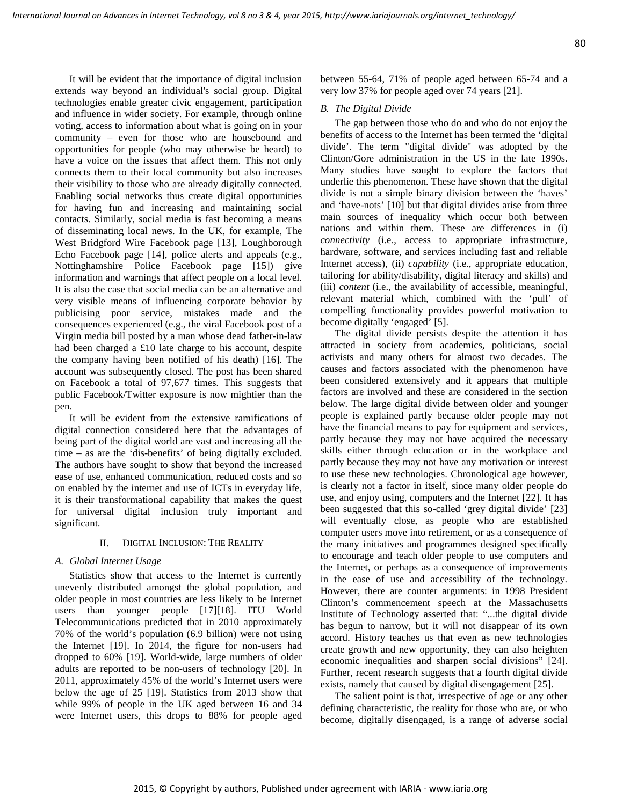It will be evident that the importance of digital inclusion extends way beyond an individual's social group. Digital technologies enable greater civic engagement, participation and influence in wider society. For example, through online voting, access to information about what is going on in your community – even for those who are housebound and opportunities for people (who may otherwise be heard) to have a voice on the issues that affect them. This not only connects them to their local community but also increases their visibility to those who are already digitally connected. Enabling social networks thus create digital opportunities for having fun and increasing and maintaining social contacts. Similarly, social media is fast becoming a means of disseminating local news. In the UK, for example, The West Bridgford Wire Facebook page [13], Loughborough Echo Facebook page [14], police alerts and appeals (e.g., Nottinghamshire Police Facebook page [15]) give information and warnings that affect people on a local level. It is also the case that social media can be an alternative and very visible means of influencing corporate behavior by publicising poor service, mistakes made and the consequences experienced (e.g., the viral Facebook post of a Virgin media bill posted by a man whose dead father-in-law had been charged a £10 late charge to his account, despite the company having been notified of his death) [16]. The account was subsequently closed. The post has been shared on Facebook a total of 97,677 times. This suggests that public Facebook/Twitter exposure is now mightier than the pen.

It will be evident from the extensive ramifications of digital connection considered here that the advantages of being part of the digital world are vast and increasing all the time – as are the 'dis-benefits' of being digitally excluded. The authors have sought to show that beyond the increased ease of use, enhanced communication, reduced costs and so on enabled by the internet and use of ICTs in everyday life, it is their transformational capability that makes the quest for universal digital inclusion truly important and significant.

#### II. DIGITAL INCLUSION: THE REALITY

#### *A. Global Internet Usage*

Statistics show that access to the Internet is currently unevenly distributed amongst the global population, and older people in most countries are less likely to be Internet users than younger people [17][18]. ITU World Telecommunications predicted that in 2010 approximately 70% of the world's population (6.9 billion) were not using the Internet [19]. In 2014, the figure for non-users had dropped to 60% [19]. World-wide, large numbers of older adults are reported to be non-users of technology [20]. In 2011, approximately 45% of the world's Internet users were below the age of 25 [19]. Statistics from 2013 show that while 99% of people in the UK aged between 16 and 34 were Internet users, this drops to 88% for people aged

between 55-64, 71% of people aged between 65-74 and a very low 37% for people aged over 74 years [21].

#### *B. The Digital Divide*

The gap between those who do and who do not enjoy the benefits of access to the Internet has been termed the 'digital divide'. The term "digital divide" was adopted by the Clinton/Gore administration in the US in the late 1990s. Many studies have sought to explore the factors that underlie this phenomenon. These have shown that the digital divide is not a simple binary division between the 'haves' and 'have-nots' [10] but that digital divides arise from three main sources of inequality which occur both between nations and within them. These are differences in (i) *connectivity* (i.e., access to appropriate infrastructure, hardware, software, and services including fast and reliable Internet access), (ii) *capability* (i.e., appropriate education, tailoring for ability/disability, digital literacy and skills) and (iii) *content* (i.e., the availability of accessible, meaningful, relevant material which, combined with the 'pull' of compelling functionality provides powerful motivation to become digitally 'engaged' [5].

The digital divide persists despite the attention it has attracted in society from academics, politicians, social activists and many others for almost two decades. The causes and factors associated with the phenomenon have been considered extensively and it appears that multiple factors are involved and these are considered in the section below. The large digital divide between older and younger people is explained partly because older people may not have the financial means to pay for equipment and services, partly because they may not have acquired the necessary skills either through education or in the workplace and partly because they may not have any motivation or interest to use these new technologies. Chronological age however, is clearly not a factor in itself, since many older people do use, and enjoy using, computers and the Internet [22]. It has been suggested that this so-called 'grey digital divide' [23] will eventually close, as people who are established computer users move into retirement, or as a consequence of the many initiatives and programmes designed specifically to encourage and teach older people to use computers and the Internet, or perhaps as a consequence of improvements in the ease of use and accessibility of the technology. However, there are counter arguments: in 1998 President Clinton's commencement speech at the Massachusetts Institute of Technology asserted that: "...the digital divide has begun to narrow, but it will not disappear of its own accord. History teaches us that even as new technologies create growth and new opportunity, they can also heighten economic inequalities and sharpen social divisions" [24]. Further, recent research suggests that a fourth digital divide exists, namely that caused by digital disengagement [25].

The salient point is that, irrespective of age or any other defining characteristic, the reality for those who are, or who become, digitally disengaged, is a range of adverse social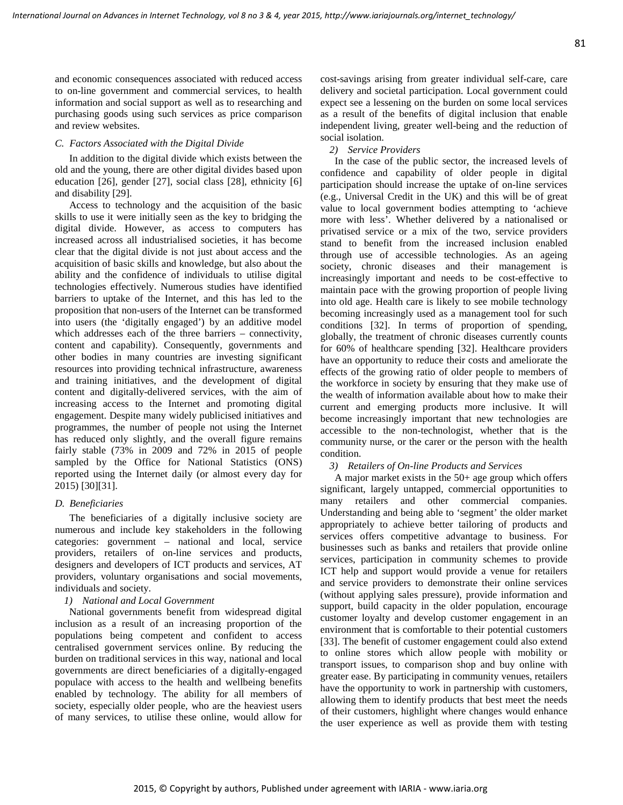and economic consequences associated with reduced access to on-line government and commercial services, to health information and social support as well as to researching and purchasing goods using such services as price comparison and review websites.

### *C. Factors Associated with the Digital Divide*

In addition to the digital divide which exists between the old and the young, there are other digital divides based upon education [26], gender [27], social class [28], ethnicity [6] and disability [29].

Access to technology and the acquisition of the basic skills to use it were initially seen as the key to bridging the digital divide. However, as access to computers has increased across all industrialised societies, it has become clear that the digital divide is not just about access and the acquisition of basic skills and knowledge, but also about the ability and the confidence of individuals to utilise digital technologies effectively. Numerous studies have identified barriers to uptake of the Internet, and this has led to the proposition that non-users of the Internet can be transformed into users (the 'digitally engaged') by an additive model which addresses each of the three barriers – connectivity, content and capability). Consequently, governments and other bodies in many countries are investing significant resources into providing technical infrastructure, awareness and training initiatives, and the development of digital content and digitally-delivered services, with the aim of increasing access to the Internet and promoting digital engagement. Despite many widely publicised initiatives and programmes, the number of people not using the Internet has reduced only slightly, and the overall figure remains fairly stable (73% in 2009 and 72% in 2015 of people sampled by the Office for National Statistics (ONS) reported using the Internet daily (or almost every day for 2015) [30][31].

### *D. Beneficiaries*

The beneficiaries of a digitally inclusive society are numerous and include key stakeholders in the following categories: government – national and local, service providers, retailers of on-line services and products, designers and developers of ICT products and services, AT providers, voluntary organisations and social movements, individuals and society.

### *1) National and Local Government*

National governments benefit from widespread digital inclusion as a result of an increasing proportion of the populations being competent and confident to access centralised government services online. By reducing the burden on traditional services in this way, national and local governments are direct beneficiaries of a digitally-engaged populace with access to the health and wellbeing benefits enabled by technology. The ability for all members of society, especially older people, who are the heaviest users of many services, to utilise these online, would allow for cost-savings arising from greater individual self-care, care delivery and societal participation. Local government could expect see a lessening on the burden on some local services as a result of the benefits of digital inclusion that enable independent living, greater well-being and the reduction of social isolation.

### *2) Service Providers*

In the case of the public sector, the increased levels of confidence and capability of older people in digital participation should increase the uptake of on-line services (e.g., Universal Credit in the UK) and this will be of great value to local government bodies attempting to 'achieve more with less'. Whether delivered by a nationalised or privatised service or a mix of the two, service providers stand to benefit from the increased inclusion enabled through use of accessible technologies. As an ageing society, chronic diseases and their management is increasingly important and needs to be cost-effective to maintain pace with the growing proportion of people living into old age. Health care is likely to see mobile technology becoming increasingly used as a management tool for such conditions [32]. In terms of proportion of spending, globally, the treatment of chronic diseases currently counts for 60% of healthcare spending [32]. Healthcare providers have an opportunity to reduce their costs and ameliorate the effects of the growing ratio of older people to members of the workforce in society by ensuring that they make use of the wealth of information available about how to make their current and emerging products more inclusive. It will become increasingly important that new technologies are accessible to the non-technologist, whether that is the community nurse, or the carer or the person with the health condition.

### *3) Retailers of On-line Products and Services*

A major market exists in the 50+ age group which offers significant, largely untapped, commercial opportunities to many retailers and other commercial companies. Understanding and being able to 'segment' the older market appropriately to achieve better tailoring of products and services offers competitive advantage to business. For businesses such as banks and retailers that provide online services, participation in community schemes to provide ICT help and support would provide a venue for retailers and service providers to demonstrate their online services (without applying sales pressure), provide information and support, build capacity in the older population, encourage customer loyalty and develop customer engagement in an environment that is comfortable to their potential customers [33]. The benefit of customer engagement could also extend to online stores which allow people with mobility or transport issues, to comparison shop and buy online with greater ease. By participating in community venues, retailers have the opportunity to work in partnership with customers, allowing them to identify products that best meet the needs of their customers, highlight where changes would enhance the user experience as well as provide them with testing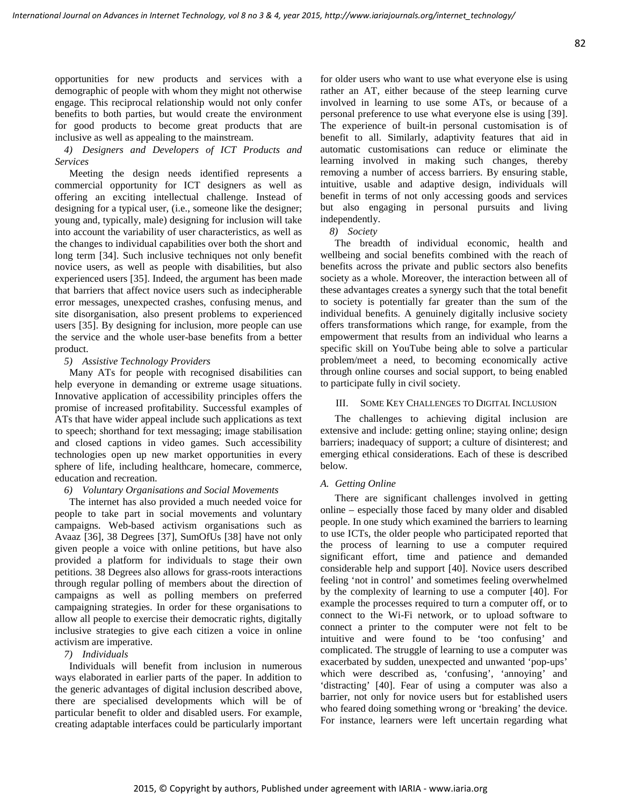## *4) Designers and Developers of ICT Products and Services*

Meeting the design needs identified represents a commercial opportunity for ICT designers as well as offering an exciting intellectual challenge. Instead of designing for a typical user, (i.e., someone like the designer; young and, typically, male) designing for inclusion will take into account the variability of user characteristics, as well as the changes to individual capabilities over both the short and long term [34]. Such inclusive techniques not only benefit novice users, as well as people with disabilities, but also experienced users [35]. Indeed, the argument has been made that barriers that affect novice users such as indecipherable error messages, unexpected crashes, confusing menus, and site disorganisation, also present problems to experienced users [35]. By designing for inclusion, more people can use the service and the whole user-base benefits from a better product.

### *5) Assistive Technology Providers*

Many ATs for people with recognised disabilities can help everyone in demanding or extreme usage situations. Innovative application of accessibility principles offers the promise of increased profitability. Successful examples of ATs that have wider appeal include such applications as text to speech; shorthand for text messaging; image stabilisation and closed captions in video games. Such accessibility technologies open up new market opportunities in every sphere of life, including healthcare, homecare, commerce, education and recreation.

### *6) Voluntary Organisations and Social Movements*

The internet has also provided a much needed voice for people to take part in social movements and voluntary campaigns. Web-based activism organisations such as Avaaz [36], 38 Degrees [37], SumOfUs [38] have not only given people a voice with online petitions, but have also provided a platform for individuals to stage their own petitions. 38 Degrees also allows for grass-roots interactions through regular polling of members about the direction of campaigns as well as polling members on preferred campaigning strategies. In order for these organisations to allow all people to exercise their democratic rights, digitally inclusive strategies to give each citizen a voice in online activism are imperative.

### *7) Individuals*

Individuals will benefit from inclusion in numerous ways elaborated in earlier parts of the paper. In addition to the generic advantages of digital inclusion described above, there are specialised developments which will be of particular benefit to older and disabled users. For example, creating adaptable interfaces could be particularly important for older users who want to use what everyone else is using rather an AT, either because of the steep learning curve involved in learning to use some ATs, or because of a personal preference to use what everyone else is using [39]. The experience of built-in personal customisation is of benefit to all. Similarly, adaptivity features that aid in automatic customisations can reduce or eliminate the learning involved in making such changes, thereby removing a number of access barriers. By ensuring stable, intuitive, usable and adaptive design, individuals will benefit in terms of not only accessing goods and services but also engaging in personal pursuits and living independently.

*8) Society*

The breadth of individual economic, health and wellbeing and social benefits combined with the reach of benefits across the private and public sectors also benefits society as a whole. Moreover, the interaction between all of these advantages creates a synergy such that the total benefit to society is potentially far greater than the sum of the individual benefits. A genuinely digitally inclusive society offers transformations which range, for example, from the empowerment that results from an individual who learns a specific skill on YouTube being able to solve a particular problem/meet a need, to becoming economically active through online courses and social support, to being enabled to participate fully in civil society.

### III. SOME KEY CHALLENGES TO DIGITAL INCLUSION

The challenges to achieving digital inclusion are extensive and include: getting online; staying online; design barriers; inadequacy of support; a culture of disinterest; and emerging ethical considerations. Each of these is described below.

### *A. Getting Online*

There are significant challenges involved in getting online – especially those faced by many older and disabled people. In one study which examined the barriers to learning to use ICTs, the older people who participated reported that the process of learning to use a computer required significant effort, time and patience and demanded considerable help and support [40]. Novice users described feeling 'not in control' and sometimes feeling overwhelmed by the complexity of learning to use a computer [40]. For example the processes required to turn a computer off, or to connect to the Wi-Fi network, or to upload software to connect a printer to the computer were not felt to be intuitive and were found to be 'too confusing' and complicated. The struggle of learning to use a computer was exacerbated by sudden, unexpected and unwanted 'pop-ups' which were described as, 'confusing', 'annoying' and 'distracting' [40]. Fear of using a computer was also a barrier, not only for novice users but for established users who feared doing something wrong or 'breaking' the device. For instance, learners were left uncertain regarding what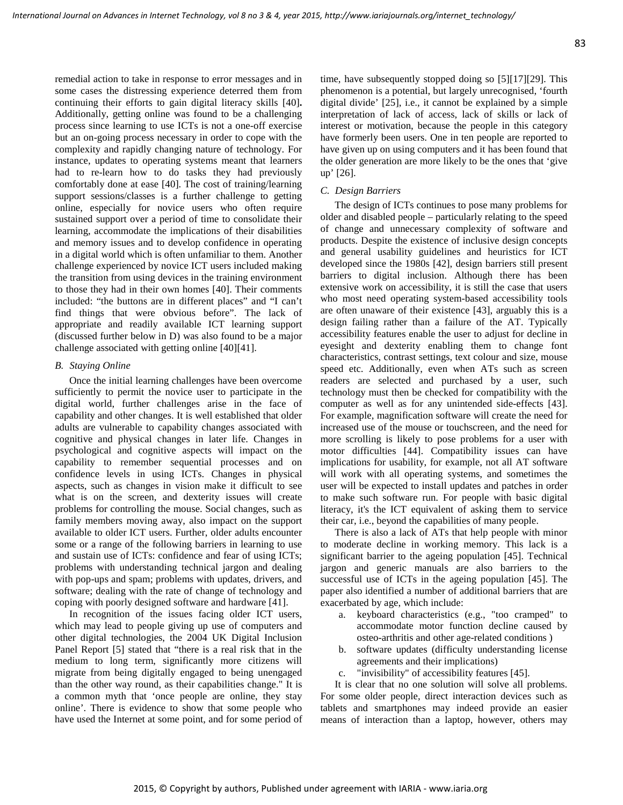remedial action to take in response to error messages and in some cases the distressing experience deterred them from continuing their efforts to gain digital literacy skills [40]**.** Additionally, getting online was found to be a challenging process since learning to use ICTs is not a one-off exercise but an on-going process necessary in order to cope with the complexity and rapidly changing nature of technology. For instance, updates to operating systems meant that learners had to re-learn how to do tasks they had previously comfortably done at ease [40]. The cost of training/learning support sessions/classes is a further challenge to getting online, especially for novice users who often require sustained support over a period of time to consolidate their learning, accommodate the implications of their disabilities and memory issues and to develop confidence in operating in a digital world which is often unfamiliar to them. Another challenge experienced by novice ICT users included making the transition from using devices in the training environment to those they had in their own homes [40]. Their comments included: "the buttons are in different places" and "I can't find things that were obvious before". The lack of appropriate and readily available ICT learning support (discussed further below in D) was also found to be a major challenge associated with getting online [40][41].

### *B. Staying Online*

Once the initial learning challenges have been overcome sufficiently to permit the novice user to participate in the digital world, further challenges arise in the face of capability and other changes. It is well established that older adults are vulnerable to capability changes associated with cognitive and physical changes in later life. Changes in psychological and cognitive aspects will impact on the capability to remember sequential processes and on confidence levels in using ICTs. Changes in physical aspects, such as changes in vision make it difficult to see what is on the screen, and dexterity issues will create problems for controlling the mouse. Social changes, such as family members moving away, also impact on the support available to older ICT users. Further, older adults encounter some or a range of the following barriers in learning to use and sustain use of ICTs: confidence and fear of using ICTs; problems with understanding technical jargon and dealing with pop-ups and spam; problems with updates, drivers, and software; dealing with the rate of change of technology and coping with poorly designed software and hardware [41].

In recognition of the issues facing older ICT users, which may lead to people giving up use of computers and other digital technologies, the 2004 UK Digital Inclusion Panel Report [5] stated that "there is a real risk that in the medium to long term, significantly more citizens will migrate from being digitally engaged to being unengaged than the other way round, as their capabilities change." It is a common myth that 'once people are online, they stay online'. There is evidence to show that some people who have used the Internet at some point, and for some period of time, have subsequently stopped doing so [5][17][29]. This phenomenon is a potential, but largely unrecognised, 'fourth digital divide' [25], i.e., it cannot be explained by a simple interpretation of lack of access, lack of skills or lack of interest or motivation, because the people in this category have formerly been users. One in ten people are reported to have given up on using computers and it has been found that the older generation are more likely to be the ones that 'give up' [26].

### *C. Design Barriers*

The design of ICTs continues to pose many problems for older and disabled people – particularly relating to the speed of change and unnecessary complexity of software and products. Despite the existence of inclusive design concepts and general usability guidelines and heuristics for ICT developed since the 1980s [42], design barriers still present barriers to digital inclusion. Although there has been extensive work on accessibility, it is still the case that users who most need operating system-based accessibility tools are often unaware of their existence [43], arguably this is a design failing rather than a failure of the AT. Typically accessibility features enable the user to adjust for decline in eyesight and dexterity enabling them to change font characteristics, contrast settings, text colour and size, mouse speed etc. Additionally, even when ATs such as screen readers are selected and purchased by a user, such technology must then be checked for compatibility with the computer as well as for any unintended side-effects [43]. For example, magnification software will create the need for increased use of the mouse or touchscreen, and the need for more scrolling is likely to pose problems for a user with motor difficulties [44]. Compatibility issues can have implications for usability, for example, not all AT software will work with all operating systems, and sometimes the user will be expected to install updates and patches in order to make such software run. For people with basic digital literacy, it's the ICT equivalent of asking them to service their car, i.e., beyond the capabilities of many people.

There is also a lack of ATs that help people with minor to moderate decline in working memory. This lack is a significant barrier to the ageing population [45]. Technical jargon and generic manuals are also barriers to the successful use of ICTs in the ageing population [45]. The paper also identified a number of additional barriers that are exacerbated by age, which include:

- a. keyboard characteristics (e.g., "too cramped" to accommodate motor function decline caused by osteo-arthritis and other age-related conditions )
- b. software updates (difficulty understanding license agreements and their implications)
- c. "invisibility" of accessibility features [45].

It is clear that no one solution will solve all problems. For some older people, direct interaction devices such as tablets and smartphones may indeed provide an easier means of interaction than a laptop, however, others may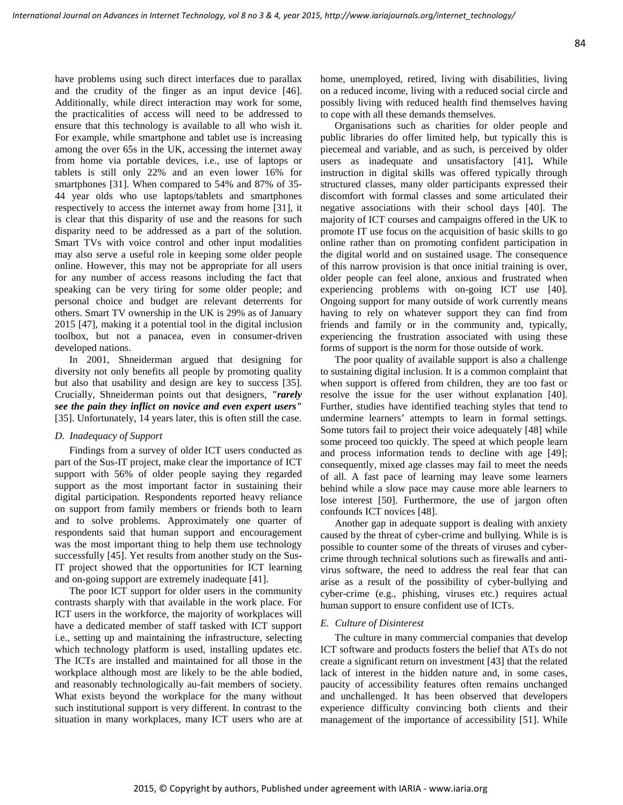have problems using such direct interfaces due to parallax and the crudity of the finger as an input device [46]. Additionally, while direct interaction may work for some, the practicalities of access will need to be addressed to ensure that this technology is available to all who wish it. For example, while smartphone and tablet use is increasing among the over 65s in the UK, accessing the internet away from home via portable devices, i.e., use of laptops or tablets is still only 22% and an even lower 16% for smartphones [31]. When compared to 54% and 87% of 35- 44 year olds who use laptops/tablets and smartphones respectively to access the internet away from home [31], it is clear that this disparity of use and the reasons for such disparity need to be addressed as a part of the solution. Smart TVs with voice control and other input modalities may also serve a useful role in keeping some older people online. However, this may not be appropriate for all users for any number of access reasons including the fact that speaking can be very tiring for some older people; and personal choice and budget are relevant deterrents for others. Smart TV ownership in the UK is 29% as of January 2015 [47], making it a potential tool in the digital inclusion toolbox, but not a panacea, even in consumer-driven developed nations.

In 2001, Shneiderman argued that designing for diversity not only benefits all people by promoting quality but also that usability and design are key to success [35]. Crucially, Shneiderman points out that designers, *"rarely see the pain they inflict on novice and even expert users"* [35]. Unfortunately, 14 years later, this is often still the case.

### *D. Inadequacy of Support*

Findings from a survey of older ICT users conducted as part of the Sus-IT project, make clear the importance of ICT support with 56% of older people saying they regarded support as the most important factor in sustaining their digital participation. Respondents reported heavy reliance on support from family members or friends both to learn and to solve problems. Approximately one quarter of respondents said that human support and encouragement was the most important thing to help them use technology successfully [45]. Yet results from another study on the Sus-IT project showed that the opportunities for ICT learning and on-going support are extremely inadequate [41].

The poor ICT support for older users in the community contrasts sharply with that available in the work place. For ICT users in the workforce, the majority of workplaces will have a dedicated member of staff tasked with ICT support i.e., setting up and maintaining the infrastructure, selecting which technology platform is used, installing updates etc. The ICTs are installed and maintained for all those in the workplace although most are likely to be the able bodied, and reasonably technologically au-fait members of society. What exists beyond the workplace for the many without such institutional support is very different. In contrast to the situation in many workplaces, many ICT users who are at home, unemployed, retired, living with disabilities, living on a reduced income, living with a reduced social circle and possibly living with reduced health find themselves having to cope with all these demands themselves.

Organisations such as charities for older people and public libraries do offer limited help, but typically this is piecemeal and variable, and as such, is perceived by older users as inadequate and unsatisfactory [41]**.** While instruction in digital skills was offered typically through structured classes, many older participants expressed their discomfort with formal classes and some articulated their negative associations with their school days [40]. The majority of ICT courses and campaigns offered in the UK to promote IT use focus on the acquisition of basic skills to go online rather than on promoting confident participation in the digital world and on sustained usage. The consequence of this narrow provision is that once initial training is over, older people can feel alone, anxious and frustrated when experiencing problems with on-going ICT use [40]. Ongoing support for many outside of work currently means having to rely on whatever support they can find from friends and family or in the community and, typically, experiencing the frustration associated with using these forms of support is the norm for those outside of work.

The poor quality of available support is also a challenge to sustaining digital inclusion. It is a common complaint that when support is offered from children, they are too fast or resolve the issue for the user without explanation [40]. Further, studies have identified teaching styles that tend to undermine learners' attempts to learn in formal settings. Some tutors fail to project their voice adequately [48] while some proceed too quickly. The speed at which people learn and process information tends to decline with age [49]; consequently, mixed age classes may fail to meet the needs of all. A fast pace of learning may leave some learners behind while a slow pace may cause more able learners to lose interest [50]. Furthermore, the use of jargon often confounds ICT novices [48].

Another gap in adequate support is dealing with anxiety caused by the threat of cyber-crime and bullying. While is is possible to counter some of the threats of viruses and cybercrime through technical solutions such as firewalls and antivirus software, the need to address the real fear that can arise as a result of the possibility of cyber-bullying and cyber-crime (e.g., phishing, viruses etc.) requires actual human support to ensure confident use of ICTs.

#### *E. Culture of Disinterest*

The culture in many commercial companies that develop ICT software and products fosters the belief that ATs do not create a significant return on investment [43] that the related lack of interest in the hidden nature and, in some cases, paucity of accessibility features often remains unchanged and unchallenged. It has been observed that developers experience difficulty convincing both clients and their management of the importance of accessibility [51]. While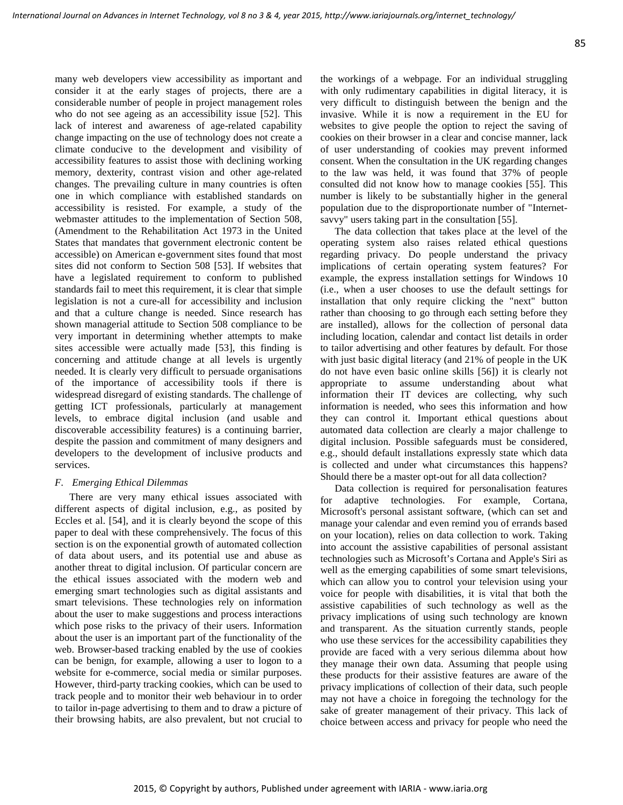many web developers view accessibility as important and consider it at the early stages of projects, there are a considerable number of people in project management roles who do not see ageing as an accessibility issue [52]. This lack of interest and awareness of age-related capability change impacting on the use of technology does not create a climate conducive to the development and visibility of accessibility features to assist those with declining working memory, dexterity, contrast vision and other age-related changes. The prevailing culture in many countries is often one in which compliance with established standards on accessibility is resisted. For example, a study of the webmaster attitudes to the implementation of Section 508, (Amendment to the Rehabilitation Act 1973 in the United States that mandates that government electronic content be accessible) on American e-government sites found that most sites did not conform to Section 508 [53]. If websites that have a legislated requirement to conform to published standards fail to meet this requirement, it is clear that simple legislation is not a cure-all for accessibility and inclusion and that a culture change is needed. Since research has shown managerial attitude to Section 508 compliance to be very important in determining whether attempts to make sites accessible were actually made [53], this finding is concerning and attitude change at all levels is urgently needed. It is clearly very difficult to persuade organisations of the importance of accessibility tools if there is widespread disregard of existing standards. The challenge of getting ICT professionals, particularly at management levels, to embrace digital inclusion (and usable and discoverable accessibility features) is a continuing barrier, despite the passion and commitment of many designers and developers to the development of inclusive products and services.

### *F. Emerging Ethical Dilemmas*

There are very many ethical issues associated with different aspects of digital inclusion, e.g., as posited by Eccles et al. [54], and it is clearly beyond the scope of this paper to deal with these comprehensively. The focus of this section is on the exponential growth of automated collection of data about users, and its potential use and abuse as another threat to digital inclusion. Of particular concern are the ethical issues associated with the modern web and emerging smart technologies such as digital assistants and smart televisions. These technologies rely on information about the user to make suggestions and process interactions which pose risks to the privacy of their users. Information about the user is an important part of the functionality of the web. Browser-based tracking enabled by the use of cookies can be benign, for example, allowing a user to logon to a website for e-commerce, social media or similar purposes. However, third-party tracking cookies, which can be used to track people and to monitor their web behaviour in to order to tailor in-page advertising to them and to draw a picture of their browsing habits, are also prevalent, but not crucial to the workings of a webpage. For an individual struggling with only rudimentary capabilities in digital literacy, it is very difficult to distinguish between the benign and the invasive. While it is now a requirement in the EU for websites to give people the option to reject the saving of cookies on their browser in a clear and concise manner, lack of user understanding of cookies may prevent informed consent. When the consultation in the UK regarding changes to the law was held, it was found that 37% of people consulted did not know how to manage cookies [55]. This number is likely to be substantially higher in the general population due to the disproportionate number of "Internetsavvy" users taking part in the consultation [55].

The data collection that takes place at the level of the operating system also raises related ethical questions regarding privacy. Do people understand the privacy implications of certain operating system features? For example, the express installation settings for Windows 10 (i.e., when a user chooses to use the default settings for installation that only require clicking the "next" button rather than choosing to go through each setting before they are installed), allows for the collection of personal data including location, calendar and contact list details in order to tailor advertising and other features by default. For those with just basic digital literacy (and 21% of people in the UK do not have even basic online skills [56]) it is clearly not appropriate to assume understanding about what information their IT devices are collecting, why such information is needed, who sees this information and how they can control it. Important ethical questions about automated data collection are clearly a major challenge to digital inclusion. Possible safeguards must be considered, e.g., should default installations expressly state which data is collected and under what circumstances this happens? Should there be a master opt-out for all data collection?

Data collection is required for personalisation features for adaptive technologies. For example, Cortana, Microsoft's personal assistant software, (which can set and manage your calendar and even remind you of errands based on your location), relies on data collection to work. Taking into account the assistive capabilities of personal assistant technologies such as Microsoft's Cortana and Apple's Siri as well as the emerging capabilities of some smart televisions, which can allow you to control your television using your voice for people with disabilities, it is vital that both the assistive capabilities of such technology as well as the privacy implications of using such technology are known and transparent. As the situation currently stands, people who use these services for the accessibility capabilities they provide are faced with a very serious dilemma about how they manage their own data. Assuming that people using these products for their assistive features are aware of the privacy implications of collection of their data, such people may not have a choice in foregoing the technology for the sake of greater management of their privacy. This lack of choice between access and privacy for people who need the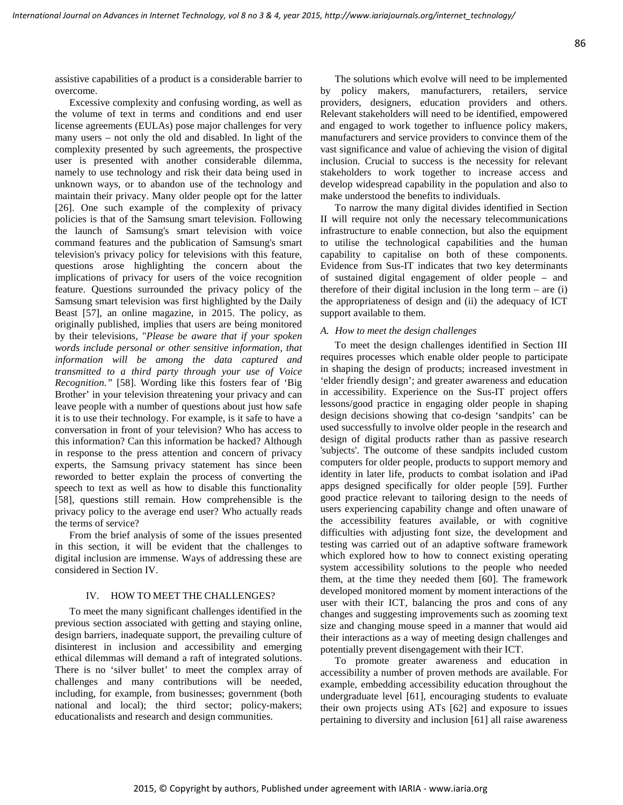assistive capabilities of a product is a considerable barrier to overcome.

Excessive complexity and confusing wording, as well as the volume of text in terms and conditions and end user license agreements (EULAs) pose major challenges for very many users – not only the old and disabled. In light of the complexity presented by such agreements, the prospective user is presented with another considerable dilemma, namely to use technology and risk their data being used in unknown ways, or to abandon use of the technology and maintain their privacy. Many older people opt for the latter [26]. One such example of the complexity of privacy policies is that of the Samsung smart television. Following the launch of Samsung's smart television with voice command features and the publication of Samsung's smart television's privacy policy for televisions with this feature, questions arose highlighting the concern about the implications of privacy for users of the voice recognition feature. Questions surrounded the privacy policy of the Samsung smart television was first highlighted by the Daily Beast [57], an online magazine, in 2015. The policy, as originally published, implies that users are being monitored by their televisions, "*Please be aware that if your spoken words include personal or other sensitive information, that information will be among the data captured and transmitted to a third party through your use of Voice Recognition."* [58]. Wording like this fosters fear of 'Big Brother' in your television threatening your privacy and can leave people with a number of questions about just how safe it is to use their technology. For example, is it safe to have a conversation in front of your television? Who has access to this information? Can this information be hacked? Although in response to the press attention and concern of privacy experts, the Samsung privacy statement has since been reworded to better explain the process of converting the speech to text as well as how to disable this functionality [58], questions still remain. How comprehensible is the privacy policy to the average end user? Who actually reads the terms of service?

From the brief analysis of some of the issues presented in this section, it will be evident that the challenges to digital inclusion are immense. Ways of addressing these are considered in Section IV.

#### IV. HOW TO MEET THE CHALLENGES?

To meet the many significant challenges identified in the previous section associated with getting and staying online, design barriers, inadequate support, the prevailing culture of disinterest in inclusion and accessibility and emerging ethical dilemmas will demand a raft of integrated solutions. There is no 'silver bullet' to meet the complex array of challenges and many contributions will be needed, including, for example, from businesses; government (both national and local); the third sector; policy-makers; educationalists and research and design communities.

The solutions which evolve will need to be implemented by policy makers, manufacturers, retailers, service providers, designers, education providers and others. Relevant stakeholders will need to be identified, empowered and engaged to work together to influence policy makers, manufacturers and service providers to convince them of the vast significance and value of achieving the vision of digital inclusion. Crucial to success is the necessity for relevant stakeholders to work together to increase access and develop widespread capability in the population and also to make understood the benefits to individuals.

To narrow the many digital divides identified in Section II will require not only the necessary telecommunications infrastructure to enable connection, but also the equipment to utilise the technological capabilities and the human capability to capitalise on both of these components. Evidence from Sus-IT indicates that two key determinants of sustained digital engagement of older people – and therefore of their digital inclusion in the long term  $-$  are (i) the appropriateness of design and (ii) the adequacy of ICT support available to them.

#### *A. How to meet the design challenges*

To meet the design challenges identified in Section III requires processes which enable older people to participate in shaping the design of products; increased investment in 'elder friendly design'; and greater awareness and education in accessibility. Experience on the Sus-IT project offers lessons/good practice in engaging older people in shaping design decisions showing that co-design 'sandpits' can be used successfully to involve older people in the research and design of digital products rather than as passive research 'subjects'. The outcome of these sandpits included custom computers for older people, products to support memory and identity in later life, products to combat isolation and iPad apps designed specifically for older people [59]. Further good practice relevant to tailoring design to the needs of users experiencing capability change and often unaware of the accessibility features available, or with cognitive difficulties with adjusting font size, the development and testing was carried out of an adaptive software framework which explored how to how to connect existing operating system accessibility solutions to the people who needed them, at the time they needed them [60]. The framework developed monitored moment by moment interactions of the user with their ICT, balancing the pros and cons of any changes and suggesting improvements such as zooming text size and changing mouse speed in a manner that would aid their interactions as a way of meeting design challenges and potentially prevent disengagement with their ICT.

To promote greater awareness and education in accessibility a number of proven methods are available. For example, embedding accessibility education throughout the undergraduate level [61], encouraging students to evaluate their own projects using ATs [62] and exposure to issues pertaining to diversity and inclusion [61] all raise awareness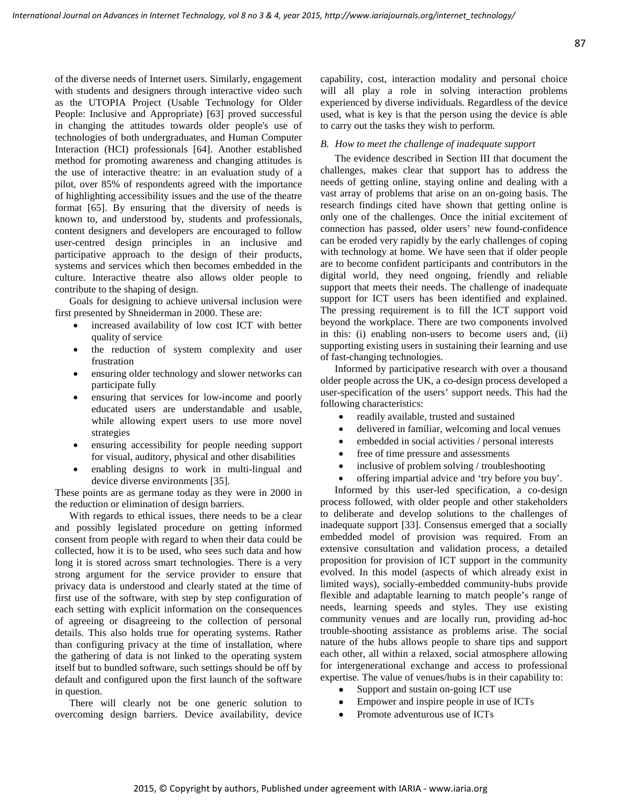of the diverse needs of Internet users. Similarly, engagement with students and designers through interactive video such as the UTOPIA Project (Usable Technology for Older People: Inclusive and Appropriate) [63] proved successful in changing the attitudes towards older people's use of technologies of both undergraduates, and Human Computer Interaction (HCI) professionals [64]. Another established method for promoting awareness and changing attitudes is the use of interactive theatre: in an evaluation study of a pilot, over 85% of respondents agreed with the importance of highlighting accessibility issues and the use of the theatre format [65]. By ensuring that the diversity of needs is known to, and understood by, students and professionals, content designers and developers are encouraged to follow user-centred design principles in an inclusive and participative approach to the design of their products, systems and services which then becomes embedded in the culture. Interactive theatre also allows older people to contribute to the shaping of design.

Goals for designing to achieve universal inclusion were first presented by Shneiderman in 2000. These are:

- increased availability of low cost ICT with better quality of service
- the reduction of system complexity and user frustration
- ensuring older technology and slower networks can participate fully
- ensuring that services for low-income and poorly educated users are understandable and usable, while allowing expert users to use more novel strategies
- ensuring accessibility for people needing support for visual, auditory, physical and other disabilities
- enabling designs to work in multi-lingual and device diverse environments [35].

These points are as germane today as they were in 2000 in the reduction or elimination of design barriers.

With regards to ethical issues, there needs to be a clear and possibly legislated procedure on getting informed consent from people with regard to when their data could be collected, how it is to be used, who sees such data and how long it is stored across smart technologies. There is a very strong argument for the service provider to ensure that privacy data is understood and clearly stated at the time of first use of the software, with step by step configuration of each setting with explicit information on the consequences of agreeing or disagreeing to the collection of personal details. This also holds true for operating systems. Rather than configuring privacy at the time of installation, where the gathering of data is not linked to the operating system itself but to bundled software, such settings should be off by default and configured upon the first launch of the software in question.

There will clearly not be one generic solution to overcoming design barriers. Device availability, device capability, cost, interaction modality and personal choice will all play a role in solving interaction problems experienced by diverse individuals. Regardless of the device used, what is key is that the person using the device is able to carry out the tasks they wish to perform.

#### *B. How to meet the challenge of inadequate support*

The evidence described in Section III that document the challenges, makes clear that support has to address the needs of getting online, staying online and dealing with a vast array of problems that arise on an on-going basis. The research findings cited have shown that getting online is only one of the challenges. Once the initial excitement of connection has passed, older users' new found-confidence can be eroded very rapidly by the early challenges of coping with technology at home. We have seen that if older people are to become confident participants and contributors in the digital world, they need ongoing, friendly and reliable support that meets their needs. The challenge of inadequate support for ICT users has been identified and explained. The pressing requirement is to fill the ICT support void beyond the workplace. There are two components involved in this: (i) enabling non-users to become users and, (ii) supporting existing users in sustaining their learning and use of fast-changing technologies.

Informed by participative research with over a thousand older people across the UK, a co-design process developed a user-specification of the users' support needs. This had the following characteristics:

- readily available, trusted and sustained
- delivered in familiar, welcoming and local venues
- embedded in social activities / personal interests
- free of time pressure and assessments
- inclusive of problem solving / troubleshooting
- offering impartial advice and 'try before you buy'.

Informed by this user-led specification, a co-design process followed, with older people and other stakeholders to deliberate and develop solutions to the challenges of inadequate support [33]. Consensus emerged that a socially embedded model of provision was required. From an extensive consultation and validation process, a detailed proposition for provision of ICT support in the community evolved. In this model (aspects of which already exist in limited ways), socially-embedded community-hubs provide flexible and adaptable learning to match people's range of needs, learning speeds and styles. They use existing community venues and are locally run, providing ad-hoc trouble-shooting assistance as problems arise. The social nature of the hubs allows people to share tips and support each other, all within a relaxed, social atmosphere allowing for intergenerational exchange and access to professional expertise. The value of venues/hubs is in their capability to:

- Support and sustain on-going ICT use
- Empower and inspire people in use of ICTs
- Promote adventurous use of ICTs

87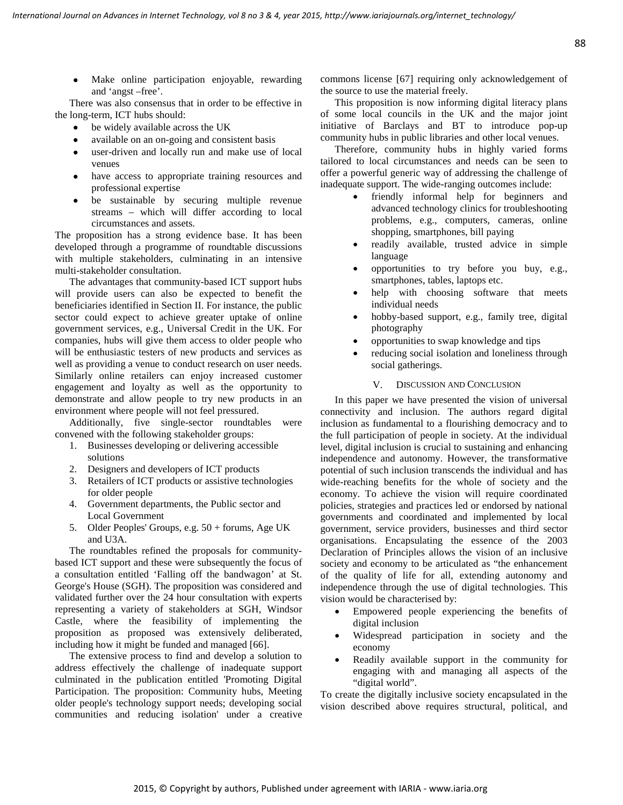• Make online participation enjoyable, rewarding and 'angst –free'.

There was also consensus that in order to be effective in the long-term, ICT hubs should:

- be widely available across the UK
- available on an on-going and consistent basis
- user-driven and locally run and make use of local venues
- have access to appropriate training resources and professional expertise
- be sustainable by securing multiple revenue streams – which will differ according to local circumstances and assets.

The proposition has a strong evidence base. It has been developed through a programme of roundtable discussions with multiple stakeholders, culminating in an intensive multi-stakeholder consultation.

The advantages that community-based ICT support hubs will provide users can also be expected to benefit the beneficiaries identified in Section II. For instance, the public sector could expect to achieve greater uptake of online government services, e.g., Universal Credit in the UK. For companies, hubs will give them access to older people who will be enthusiastic testers of new products and services as well as providing a venue to conduct research on user needs. Similarly online retailers can enjoy increased customer engagement and loyalty as well as the opportunity to demonstrate and allow people to try new products in an environment where people will not feel pressured.

Additionally, five single-sector roundtables were convened with the following stakeholder groups:

- 1. Businesses developing or delivering accessible solutions
- 2. Designers and developers of ICT products
- 3. Retailers of ICT products or assistive technologies for older people
- 4. Government departments, the Public sector and Local Government
- 5. Older Peoples' Groups, e.g. 50 + forums, Age UK and U3A.

The roundtables refined the proposals for communitybased ICT support and these were subsequently the focus of a consultation entitled 'Falling off the bandwagon' at St. George's House (SGH). The proposition was considered and validated further over the 24 hour consultation with experts representing a variety of stakeholders at SGH, Windsor Castle, where the feasibility of implementing the proposition as proposed was extensively deliberated, including how it might be funded and managed [66].

The extensive process to find and develop a solution to address effectively the challenge of inadequate support culminated in the publication entitled 'Promoting Digital Participation. The proposition: Community hubs, Meeting older people's technology support needs; developing social communities and reducing isolation' under a creative commons license [67] requiring only acknowledgement of the source to use the material freely.

This proposition is now informing digital literacy plans of some local councils in the UK and the major joint initiative of Barclays and BT to introduce pop-up community hubs in public libraries and other local venues.

Therefore, community hubs in highly varied forms tailored to local circumstances and needs can be seen to offer a powerful generic way of addressing the challenge of inadequate support. The wide-ranging outcomes include:

- friendly informal help for beginners and advanced technology clinics for troubleshooting problems, e.g., computers, cameras, online shopping, smartphones, bill paying
- readily available, trusted advice in simple language
- opportunities to try before you buy, e.g., smartphones, tables, laptops etc.
- help with choosing software that meets individual needs
- hobby-based support, e.g., family tree, digital photography
- opportunities to swap knowledge and tips
- reducing social isolation and loneliness through social gatherings.

# V. DISCUSSION AND CONCLUSION

In this paper we have presented the vision of universal connectivity and inclusion. The authors regard digital inclusion as fundamental to a flourishing democracy and to the full participation of people in society. At the individual level, digital inclusion is crucial to sustaining and enhancing independence and autonomy. However, the transformative potential of such inclusion transcends the individual and has wide-reaching benefits for the whole of society and the economy. To achieve the vision will require coordinated policies, strategies and practices led or endorsed by national governments and coordinated and implemented by local government, service providers, businesses and third sector organisations. Encapsulating the essence of the 2003 Declaration of Principles allows the vision of an inclusive society and economy to be articulated as "the enhancement of the quality of life for all, extending autonomy and independence through the use of digital technologies. This vision would be characterised by:

- Empowered people experiencing the benefits of digital inclusion
- Widespread participation in society and the economy
- Readily available support in the community for engaging with and managing all aspects of the "digital world".

To create the digitally inclusive society encapsulated in the vision described above requires structural, political, and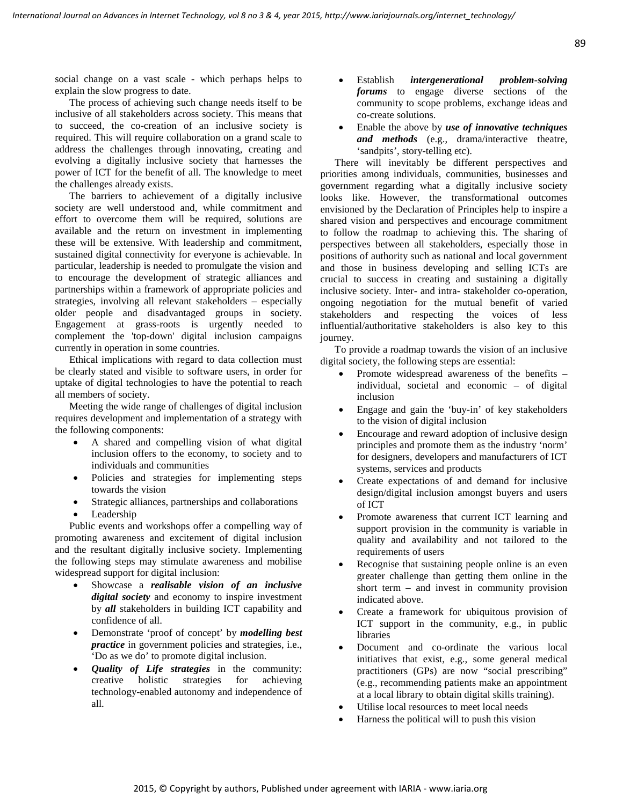social change on a vast scale - which perhaps helps to explain the slow progress to date.

The process of achieving such change needs itself to be inclusive of all stakeholders across society. This means that to succeed, the co-creation of an inclusive society is required. This will require collaboration on a grand scale to address the challenges through innovating, creating and evolving a digitally inclusive society that harnesses the power of ICT for the benefit of all. The knowledge to meet the challenges already exists.

The barriers to achievement of a digitally inclusive society are well understood and, while commitment and effort to overcome them will be required, solutions are available and the return on investment in implementing these will be extensive. With leadership and commitment, sustained digital connectivity for everyone is achievable. In particular, leadership is needed to promulgate the vision and to encourage the development of strategic alliances and partnerships within a framework of appropriate policies and strategies, involving all relevant stakeholders – especially older people and disadvantaged groups in society. Engagement at grass-roots is urgently needed to complement the 'top-down' digital inclusion campaigns currently in operation in some countries.

Ethical implications with regard to data collection must be clearly stated and visible to software users, in order for uptake of digital technologies to have the potential to reach all members of society.

Meeting the wide range of challenges of digital inclusion requires development and implementation of a strategy with the following components:

- A shared and compelling vision of what digital inclusion offers to the economy, to society and to individuals and communities
- Policies and strategies for implementing steps towards the vision
- Strategic alliances, partnerships and collaborations
- **Leadership**

Public events and workshops offer a compelling way of promoting awareness and excitement of digital inclusion and the resultant digitally inclusive society. Implementing the following steps may stimulate awareness and mobilise widespread support for digital inclusion:

- Showcase a *realisable vision of an inclusive digital society* and economy to inspire investment by *all* stakeholders in building ICT capability and confidence of all.
- Demonstrate 'proof of concept' by *modelling best practice* in government policies and strategies, i.e., 'Do as we do' to promote digital inclusion.
- *Quality of Life strategies* in the community: creative holistic strategies for achieving technology-enabled autonomy and independence of all.
- Establish *intergenerational problem-solving forums* to engage diverse sections of the community to scope problems, exchange ideas and co-create solutions.
- Enable the above by *use of innovative techniques and methods* (e.g., drama/interactive theatre, 'sandpits', story-telling etc).

There will inevitably be different perspectives and priorities among individuals, communities, businesses and government regarding what a digitally inclusive society looks like. However, the transformational outcomes envisioned by the Declaration of Principles help to inspire a shared vision and perspectives and encourage commitment to follow the roadmap to achieving this. The sharing of perspectives between all stakeholders, especially those in positions of authority such as national and local government and those in business developing and selling ICTs are crucial to success in creating and sustaining a digitally inclusive society. Inter- and intra- stakeholder co-operation, ongoing negotiation for the mutual benefit of varied stakeholders and respecting the voices of less influential/authoritative stakeholders is also key to this journey.

To provide a roadmap towards the vision of an inclusive digital society, the following steps are essential:

- Promote widespread awareness of the benefits individual, societal and economic – of digital inclusion
- Engage and gain the 'buy-in' of key stakeholders to the vision of digital inclusion
- Encourage and reward adoption of inclusive design principles and promote them as the industry 'norm' for designers, developers and manufacturers of ICT systems, services and products
- Create expectations of and demand for inclusive design/digital inclusion amongst buyers and users of ICT
- Promote awareness that current ICT learning and support provision in the community is variable in quality and availability and not tailored to the requirements of users
- Recognise that sustaining people online is an even greater challenge than getting them online in the short term – and invest in community provision indicated above.
- Create a framework for ubiquitous provision of ICT support in the community, e.g., in public libraries
- Document and co-ordinate the various local initiatives that exist, e.g., some general medical practitioners (GPs) are now "social prescribing" (e.g., recommending patients make an appointment at a local library to obtain digital skills training).
- Utilise local resources to meet local needs
- Harness the political will to push this vision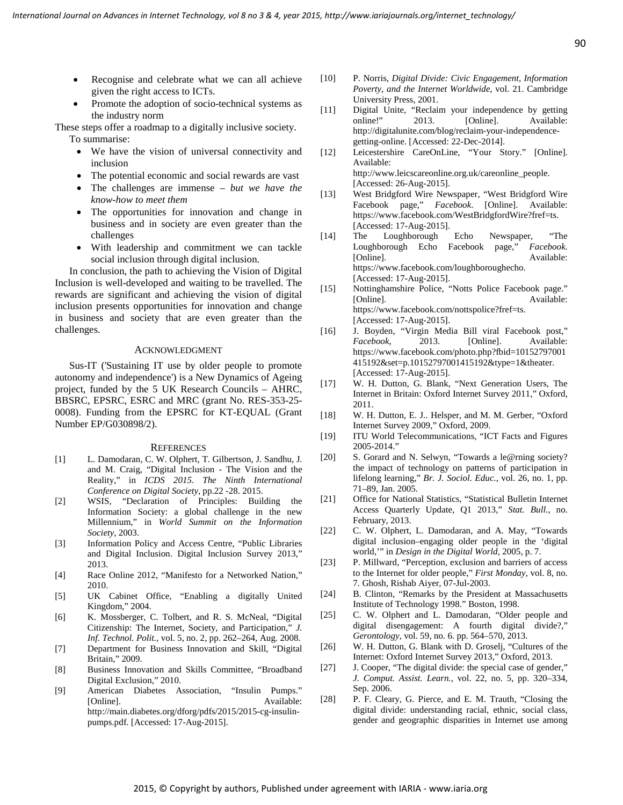- Recognise and celebrate what we can all achieve given the right access to ICTs.
- Promote the adoption of socio-technical systems as the industry norm

These steps offer a roadmap to a digitally inclusive society. To summarise:

- We have the vision of universal connectivity and inclusion
- The potential economic and social rewards are vast
- The challenges are immense *but we have the know-how to meet them*
- The opportunities for innovation and change in business and in society are even greater than the challenges
- With leadership and commitment we can tackle social inclusion through digital inclusion.

In conclusion, the path to achieving the Vision of Digital Inclusion is well-developed and waiting to be travelled. The rewards are significant and achieving the vision of digital inclusion presents opportunities for innovation and change in business and society that are even greater than the challenges.

#### ACKNOWLEDGMENT

Sus-IT ('Sustaining IT use by older people to promote autonomy and independence') is a New Dynamics of Ageing project, funded by the 5 UK Research Councils – AHRC, BBSRC, EPSRC, ESRC and MRC (grant No. RES-353-25- 0008). Funding from the EPSRC for KT-EQUAL (Grant Number EP/G030898/2).

#### **REFERENCES**

- [1] L. Damodaran, C. W. Olphert, T. Gilbertson, J. Sandhu, J. and M. Craig, "Digital Inclusion - The Vision and the Reality," in *ICDS 2015. The Ninth International Conference on Digital Society*, pp.22 -28. 2015.
- [2] WSIS, "Declaration of Principles: Building the Information Society: a global challenge in the new Millennium," in *World Summit on the Information Society*, 2003.
- [3] Information Policy and Access Centre, "Public Libraries and Digital Inclusion. Digital Inclusion Survey 2013," 2013.
- [4] Race Online 2012, "Manifesto for a Networked Nation," 2010.
- [5] UK Cabinet Office, "Enabling a digitally United Kingdom," 2004.
- [6] K. Mossberger, C. Tolbert, and R. S. McNeal, "Digital Citizenship: The Internet, Society, and Participation," *J. Inf. Technol. Polit.*, vol. 5, no. 2, pp. 262–264, Aug. 2008.
- [7] Department for Business Innovation and Skill, "Digital Britain," 2009.
- [8] Business Innovation and Skills Committee, "Broadband Digital Exclusion," 2010.
- [9] American Diabetes Association, "Insulin Pumps." [Online]. Available: http://main.diabetes.org/dforg/pdfs/2015/2015-cg-insulinpumps.pdf. [Accessed: 17-Aug-2015].
- [10] P. Norris, *Digital Divide: Civic Engagement, Information Poverty, and the Internet Worldwide*, vol. 21. Cambridge University Press, 2001.
- [11] Digital Unite, "Reclaim your independence by getting online!" 2013. [Online]. Available: http://digitalunite.com/blog/reclaim-your-independencegetting-online. [Accessed: 22-Dec-2014].
- [12] Leicestershire CareOnLine, "Your Story." [Online]. Available: http://www.leicscareonline.org.uk/careonline\_people. [Accessed: 26-Aug-2015].
- [13] West Bridgford Wire Newspaper, "West Bridgford Wire Facebook page," *Facebook*. [Online]. Available: https://www.facebook.com/WestBridgfordWire?fref=ts. [Accessed: 17-Aug-2015].
- [14] The Loughborough Echo Newspaper, "The Loughborough Echo Facebook page," *Facebook*. [Online]. Available: https://www.facebook.com/loughboroughecho. [Accessed: 17-Aug-2015].
- [15] Nottinghamshire Police, "Notts Police Facebook page." [Online]. Available: https://www.facebook.com/nottspolice?fref=ts. [Accessed: 17-Aug-2015].
- [16] J. Boyden, "Virgin Media Bill viral Facebook post," *Facebook*, 2013. [Online]. Available: https://www.facebook.com/photo.php?fbid=10152797001 415192&set=p.10152797001415192&type=1&theater. [Accessed: 17-Aug-2015].
- [17] W. H. Dutton, G. Blank, "Next Generation Users, The Internet in Britain: Oxford Internet Survey 2011," Oxford, 2011.
- [18] W. H. Dutton, E. J.. Helsper, and M. M. Gerber, "Oxford Internet Survey 2009," Oxford, 2009.
- [19] ITU World Telecommunications, "ICT Facts and Figures 2005-2014."
- [20] S. Gorard and N. Selwyn, "Towards a le@rning society? the impact of technology on patterns of participation in lifelong learning," *Br. J. Sociol. Educ.*, vol. 26, no. 1, pp. 71–89, Jan. 2005.
- [21] Office for National Statistics, "Statistical Bulletin Internet Access Quarterly Update, Q1 2013," *Stat. Bull.*, no. February, 2013.
- [22] C. W. Olphert, L. Damodaran, and A. May, "Towards digital inclusion–engaging older people in the 'digital world,'" in *Design in the Digital World*, 2005, p. 7.
- [23] P. Millward, "Perception, exclusion and barriers of access to the Internet for older people," *First Monday*, vol. 8, no. 7. Ghosh, Rishab Aiyer, 07-Jul-2003.
- [24] B. Clinton, "Remarks by the President at Massachusetts Institute of Technology 1998." Boston, 1998.
- [25] C. W. Olphert and L. Damodaran, "Older people and digital disengagement: A fourth digital divide?," *Gerontology*, vol. 59, no. 6. pp. 564–570, 2013.
- [26] W. H. Dutton, G. Blank with D. Groselj, "Cultures of the Internet: Oxford Internet Survey 2013," Oxford, 2013.
- [27] J. Cooper, "The digital divide: the special case of gender," *J. Comput. Assist. Learn.*, vol. 22, no. 5, pp. 320–334, Sep. 2006.
- [28] P. F. Cleary, G. Pierce, and E. M. Trauth, "Closing the digital divide: understanding racial, ethnic, social class, gender and geographic disparities in Internet use among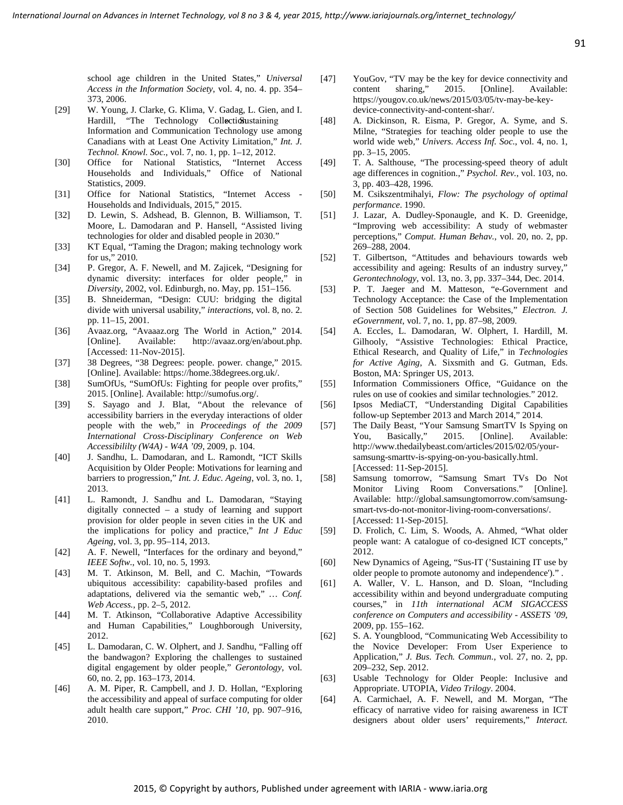school age children in the United States," *Universal Access in the Information Society*, vol. 4, no. 4. pp. 354– 373, 2006.

- [29] W. Young, J. Clarke, G. Klima, V. Gadag, L. Gien, and I. Hardill, "The Technology Collection staining Information and Communication Technology use among Canadians with at Least One Activity Limitation," *Int. J. Technol. Knowl. Soc.*, vol. 7, no. 1, pp. 1–12, 2012.
- [30] Office for National Statistics, "Internet Access Households and Individuals," Office of National Statistics, 2009.
- [31] Office for National Statistics, "Internet Access Households and Individuals, 2015," 2015.
- [32] D. Lewin, S. Adshead, B. Glennon, B. Williamson, T. Moore, L. Damodaran and P. Hansell, "Assisted living technologies for older and disabled people in 2030."
- [33] KT Equal, "Taming the Dragon; making technology work for us," 2010.
- [34] P. Gregor, A. F. Newell, and M. Zajicek, "Designing for dynamic diversity: interfaces for older people," in *Diversity*, 2002, vol. Edinburgh, no. May, pp. 151–156.
- [35] B. Shneiderman, "Design: CUU: bridging the digital divide with universal usability," *interactions*, vol. 8, no. 2. pp. 11–15, 2001.
- [36] Avaaz.org, "Avaaaz.org The World in Action," 2014. [Online]. Available: http://avaaz.org/en/about.php. [Accessed: 11-Nov-2015].
- [37] 38 Degrees, "38 Degrees: people. power. change," 2015. [Online]. Available: https://home.38degrees.org.uk/.
- [38] SumOfUs, "SumOfUs: Fighting for people over profits," 2015. [Online]. Available: http://sumofus.org/.
- [39] S. Sayago and J. Blat, "About the relevance of accessibility barriers in the everyday interactions of older people with the web," in *Proceedings of the 2009 International Cross-Disciplinary Conference on Web Accessibililty (W4A) - W4A '09*, 2009, p. 104.
- [40] J. Sandhu, L. Damodaran, and L. Ramondt, "ICT Skills Acquisition by Older People: Motivations for learning and barriers to progression," *Int. J. Educ. Ageing*, vol. 3, no. 1, 2013.
- [41] L. Ramondt, J. Sandhu and L. Damodaran, "Staying digitally connected – a study of learning and support provision for older people in seven cities in the UK and the implications for policy and practice," *Int J Educ Ageing*, vol. 3, pp. 95–114, 2013.
- [42] A. F. Newell, "Interfaces for the ordinary and beyond," *IEEE Softw.*, vol. 10, no. 5, 1993.
- [43] M. T. Atkinson, M. Bell, and C. Machin, "Towards ubiquitous accessibility: capability-based profiles and adaptations, delivered via the semantic web," *… Conf. Web Access.*, pp. 2–5, 2012.
- [44] M. T. Atkinson, "Collaborative Adaptive Accessibility and Human Capabilities," Loughborough University, 2012.
- [45] L. Damodaran, C. W. Olphert, and J. Sandhu, "Falling off the bandwagon? Exploring the challenges to sustained digital engagement by older people," *Gerontology*, vol. 60, no. 2, pp. 163–173, 2014.
- [46] A. M. Piper, R. Campbell, and J. D. Hollan, "Exploring the accessibility and appeal of surface computing for older adult health care support," *Proc. CHI '10*, pp. 907–916, 2010.
- [47] YouGov, "TV may be the key for device connectivity and content sharing," 2015. [Online]. Available: https://yougov.co.uk/news/2015/03/05/tv-may-be-keydevice-connectivity-and-content-shar/.
- [48] A. Dickinson, R. Eisma, P. Gregor, A. Syme, and S. Milne, "Strategies for teaching older people to use the world wide web," *Univers. Access Inf. Soc.*, vol. 4, no. 1, pp. 3–15, 2005.
- [49] T. A. Salthouse, "The processing-speed theory of adult age differences in cognition.," *Psychol. Rev.*, vol. 103, no. 3, pp. 403–428, 1996.
- [50] M. Csikszentmihalyi, *Flow: The psychology of optimal performance*. 1990.
- [51] J. Lazar, A. Dudley-Sponaugle, and K. D. Greenidge, "Improving web accessibility: A study of webmaster perceptions," *Comput. Human Behav.*, vol. 20, no. 2, pp. 269–288, 2004.
- [52] T. Gilbertson, "Attitudes and behaviours towards web accessibility and ageing: Results of an industry survey," *Gerontechnology*, vol. 13, no. 3, pp. 337–344, Dec. 2014.
- [53] P. T. Jaeger and M. Matteson, "e-Government and Technology Acceptance: the Case of the Implementation of Section 508 Guidelines for Websites," *Electron. J. eGovernment*, vol. 7, no. 1, pp. 87–98, 2009.
- [54] A. Eccles, L. Damodaran, W. Olphert, I. Hardill, M. Gilhooly, "Assistive Technologies: Ethical Practice, Ethical Research, and Quality of Life," in *Technologies for Active Aging*, A. Sixsmith and G. Gutman, Eds. Boston, MA: Springer US, 2013.
- [55] Information Commissioners Office, "Guidance on the rules on use of cookies and similar technologies." 2012.
- [56] Ipsos MediaCT, "Understanding Digital Capabilities follow-up September 2013 and March 2014," 2014.
- [57] The Daily Beast, "Your Samsung SmartTV Is Spying on You, Basically," 2015. [Online]. Available: http://www.thedailybeast.com/articles/2015/02/05/yoursamsung-smarttv-is-spying-on-you-basically.html. [Accessed: 11-Sep-2015].
- [58] Samsung tomorrow, "Samsung Smart TVs Do Not Monitor Living Room Conversations." [Online]. Available: http://global.samsungtomorrow.com/samsungsmart-tvs-do-not-monitor-living-room-conversations/. [Accessed: 11-Sep-2015].
- [59] D. Frolich, C. Lim, S. Woods, A. Ahmed, "What older people want: A catalogue of co-designed ICT concepts," 2012.
- [60] New Dynamics of Ageing, "Sus-IT ('Sustaining IT use by older people to promote autonomy and independence')." .
- [61] A. Waller, V. L. Hanson, and D. Sloan, "Including accessibility within and beyond undergraduate computing courses," in *11th international ACM SIGACCESS conference on Computers and accessibility - ASSETS '09*, 2009, pp. 155–162.
- [62] S. A. Youngblood, "Communicating Web Accessibility to the Novice Developer: From User Experience to Application," *J. Bus. Tech. Commun.*, vol. 27, no. 2, pp. 209–232, Sep. 2012.
- [63] Usable Technology for Older People: Inclusive and Appropriate. UTOPIA, *Video Trilogy*. 2004.
- [64] A. Carmichael, A. F. Newell, and M. Morgan, "The efficacy of narrative video for raising awareness in ICT designers about older users' requirements," *Interact.*